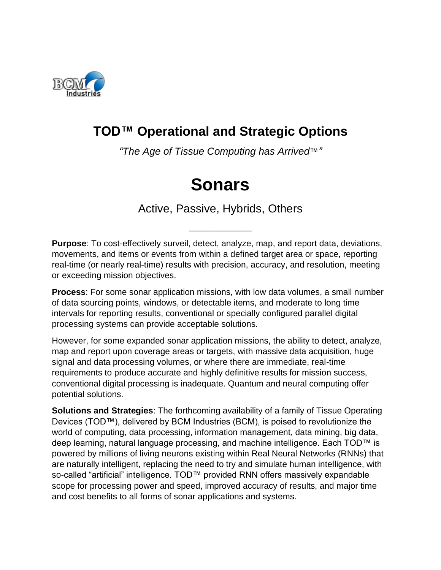

## **TOD™ Operational and Strategic Options**

*"The Age of Tissue Computing has Arrived*™*"*

# **Sonars**

Active, Passive, Hybrids, Others

\_\_\_\_\_\_\_\_\_\_\_\_\_

**Purpose**: To cost-effectively surveil, detect, analyze, map, and report data, deviations, movements, and items or events from within a defined target area or space, reporting real-time (or nearly real-time) results with precision, accuracy, and resolution, meeting or exceeding mission objectives.

**Process**: For some sonar application missions, with low data volumes, a small number of data sourcing points, windows, or detectable items, and moderate to long time intervals for reporting results, conventional or specially configured parallel digital processing systems can provide acceptable solutions.

However, for some expanded sonar application missions, the ability to detect, analyze, map and report upon coverage areas or targets, with massive data acquisition, huge signal and data processing volumes, or where there are immediate, real-time requirements to produce accurate and highly definitive results for mission success, conventional digital processing is inadequate. Quantum and neural computing offer potential solutions.

**Solutions and Strategies**: The forthcoming availability of a family of Tissue Operating Devices (TOD™), delivered by BCM Industries (BCM), is poised to revolutionize the world of computing, data processing, information management, data mining, big data, deep learning, natural language processing, and machine intelligence. Each TOD™ is powered by millions of living neurons existing within Real Neural Networks (RNNs) that are naturally intelligent, replacing the need to try and simulate human intelligence, with so-called "artificial" intelligence. TOD™ provided RNN offers massively expandable scope for processing power and speed, improved accuracy of results, and major time and cost benefits to all forms of sonar applications and systems.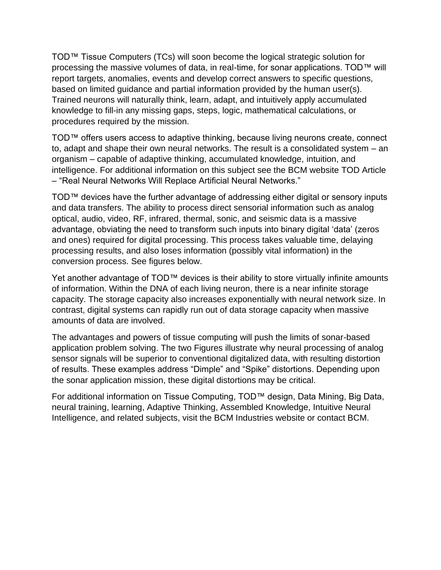TOD™ Tissue Computers (TCs) will soon become the logical strategic solution for processing the massive volumes of data, in real-time, for sonar applications. TOD™ will report targets, anomalies, events and develop correct answers to specific questions, based on limited guidance and partial information provided by the human user(s). Trained neurons will naturally think, learn, adapt, and intuitively apply accumulated knowledge to fill-in any missing gaps, steps, logic, mathematical calculations, or procedures required by the mission.

TOD™ offers users access to adaptive thinking, because living neurons create, connect to, adapt and shape their own neural networks. The result is a consolidated system – an organism – capable of adaptive thinking, accumulated knowledge, intuition, and intelligence. For additional information on this subject see the BCM website TOD Article – "Real Neural Networks Will Replace Artificial Neural Networks."

TOD™ devices have the further advantage of addressing either digital or sensory inputs and data transfers. The ability to process direct sensorial information such as analog optical, audio, video, RF, infrared, thermal, sonic, and seismic data is a massive advantage, obviating the need to transform such inputs into binary digital 'data' (zeros and ones) required for digital processing. This process takes valuable time, delaying processing results, and also loses information (possibly vital information) in the conversion process. See figures below.

Yet another advantage of TOD™ devices is their ability to store virtually infinite amounts of information. Within the DNA of each living neuron, there is a near infinite storage capacity. The storage capacity also increases exponentially with neural network size. In contrast, digital systems can rapidly run out of data storage capacity when massive amounts of data are involved.

The advantages and powers of tissue computing will push the limits of sonar-based application problem solving. The two Figures illustrate why neural processing of analog sensor signals will be superior to conventional digitalized data, with resulting distortion of results. These examples address "Dimple" and "Spike" distortions. Depending upon the sonar application mission, these digital distortions may be critical.

For additional information on Tissue Computing, TOD™ design, Data Mining, Big Data, neural training, learning, Adaptive Thinking, Assembled Knowledge, Intuitive Neural Intelligence, and related subjects, visit the BCM Industries website or contact BCM.